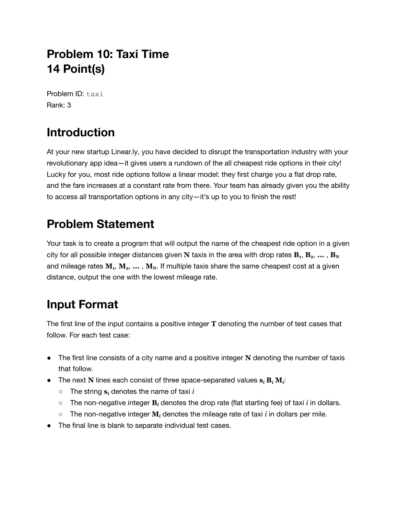## **Problem 10: Taxi Time 14 Point(s)**

Problem ID: taxi Rank: 3

# **Introduction**

At your new startup Linear.ly, you have decided to disrupt the transportation industry with your revolutionary app idea—it gives users a rundown of the all cheapest ride options in their city! Lucky for you, most ride options follow a linear model: they first charge you a flat drop rate, and the fare increases at a constant rate from there. Your team has already given you the ability to access all transportation options in any city—it's up to you to finish the rest!

## **Problem Statement**

Your task is to create a program that will output the name of the cheapest ride option in a given city for all possible integer distances given  ${\bf N}$  taxis in the area with drop rates  ${\bf B}_{\rm 1},\,{\bf B}_{\rm 2},\,\ldots$  ,  ${\bf B}_{\rm N}$ and mileage rates **M<sup>1</sup>** , **M2**, **...** , **MN**. If multiple taxis share the same cheapest cost at a given distance, output the one with the lowest mileage rate.

## **Input Format**

The first line of the input contains a positive integer **T** denoting the number of test cases that follow. For each test case:

- The first line consists of a city name and a positive integer **N** denoting the number of taxis that follow.
- The next **N** lines each consist of three space-separated values  $s_i$  **B***i*, **M***i*:
	- The string **s***<sup>i</sup>* denotes the name of taxi *i*
	- The non-negative integer **B***<sup>i</sup>* denotes the drop rate (flat starting fee) of taxi *i* in dollars.
	- The non-negative integer **M***<sup>i</sup>* denotes the mileage rate of taxi *i* in dollars per mile.
- The final line is blank to separate individual test cases.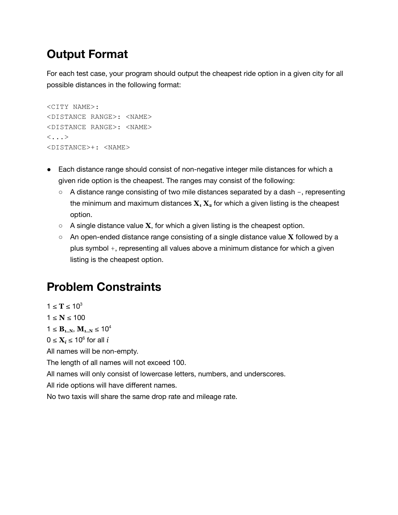### **Output Format**

For each test case, your program should output the cheapest ride option in a given city for all possible distances in the following format:

```
<CITY NAME>:
<DISTANCE RANGE>: <NAME>
<DISTANCE RANGE>: <NAME>
\langle \ldots \rangle<DISTANCE>+: <NAME>
```
- Each distance range should consist of non-negative integer mile distances for which a given ride option is the cheapest. The ranges may consist of the following:
	- A distance range consisting of two mile distances separated by a dash –, representing the minimum and maximum distances  $X_1 X_2$  for which a given listing is the cheapest option.
	- $\circ$  A single distance value **X**, for which a given listing is the cheapest option.
	- An open-ended distance range consisting of a single distance value **X** followed by a plus symbol +, representing all values above a minimum distance for which a given listing is the cheapest option.

## **Problem Constraints**

 $1 ≤ T ≤ 10<sup>3</sup>$ 

 $1 ≤ N ≤ 100$ 

 $1 \leq B_{1..N}, M_{1..N} \leq 10^4$ 

 $0 \leq \mathbf{X}_i \leq 10^6$  for all *i* 

All names will be non-empty.

The length of all names will not exceed 100.

All names will only consist of lowercase letters, numbers, and underscores.

All ride options will have different names.

No two taxis will share the same drop rate and mileage rate.